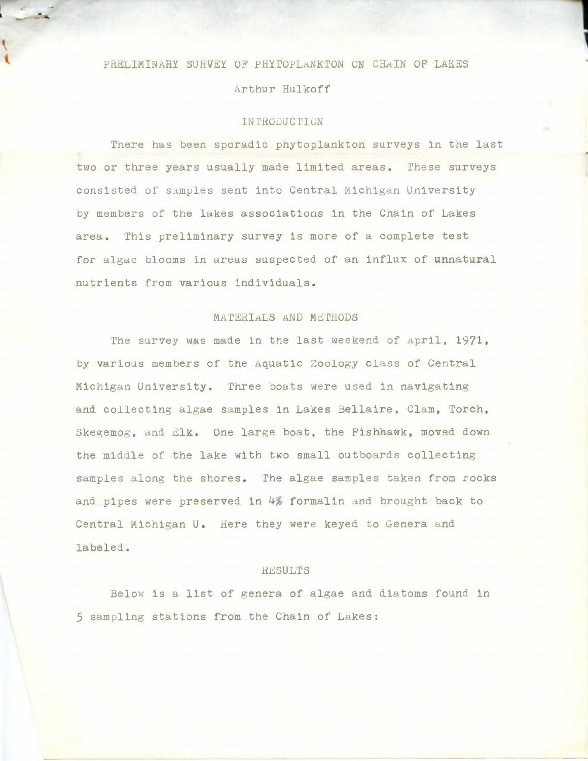## PRELIMINARY SURVEY OF PHYTOPLANKTON ON CHAIN OF LAKES

Arthur Hulkoff

## IN PRODUCTION

There has been sporadic phytoplankton surveys in the last two or three years usually made limited areas. These surveys consisted of samples sent into Central Michigan University by members of the lakes associations in the Chain of Lakes area. This preliminary survey is more of a complete test for algae blooms in areas suspected of an Influx of unnatural nutrients from various individuals.

## MATERIALS AND METHODS

The survey was made in the last weekend of April, 1971, by various members of the Aquatic Zoology class of Central Michigan University. Three boats were used in navigating and collecting algae samples in Lakes Bellaire, Clam, Torch, Skegemog, and Elk. One large boat, the Fishhawk, moved down the middle of the lake with two small outboards collecting samples along the shores. The algae samples taken from rocks and pipes were preserved in 4% formalin and brought back to Central Michigan U. Here they were keyed to Genera and labeled.

## **RESULTS**

Below is a list of genera of algae and diatoms found in 5 sampling stations from the Chain of Lakes: